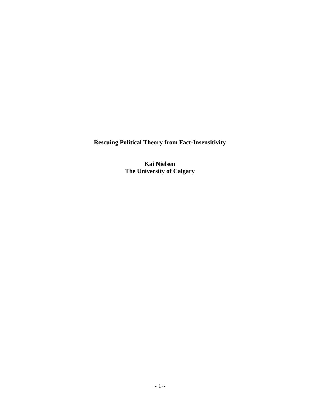**Rescuing Political Theory from Fact-Insensitivity**

**Kai Nielsen The University of Calgary**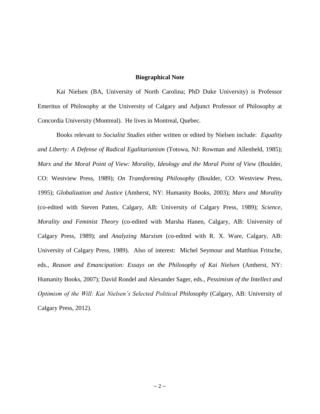# **Biographical Note**

Kai Nielsen (BA, University of North Carolina; PhD Duke University) is Professor Emeritus of Philosophy at the University of Calgary and Adjunct Professor of Philosophy at Concordia University (Montreal). He lives in Montreal, Quebec.

Books relevant to *Socialist Studies* either written or edited by Nielsen include: *Equality and Liberty: A Defense of Radical Egalitarianism* (Totowa, NJ: Rowman and Allenheld, 1985); *Marx and the Moral Point of View: Morality, Ideology and the Moral Point of View (Boulder,* CO: Westview Press, 1989); *On Transforming Philosophy* (Boulder, CO: Westview Press, 1995); *Globalization and Justice* (Amherst, NY: Humanity Books, 2003); *Marx and Morality*  (co-edited with Steven Patten, Calgary, AB: University of Calgary Press, 1989); *Science, Morality and Feminist Theory* (co-edited with Marsha Hanen, Calgary, AB: University of Calgary Press, 1989); and *Analyzing Marxism* (co-edited with R. X. Ware, Calgary, AB: University of Calgary Press, 1989). Also of interest: Michel Seymour and Matthias Fritsche, eds., *Reason and Emancipation: Essays on the Philosophy of Kai Nielsen* (Amherst, NY: Humanity Books, 2007); David Rondel and Alexander Sager, eds., *Pessimism of the Intellect and Optimism of the Will: Kai Nielsen's Selected Political Philosophy* (Calgary, AB: University of Calgary Press, 2012).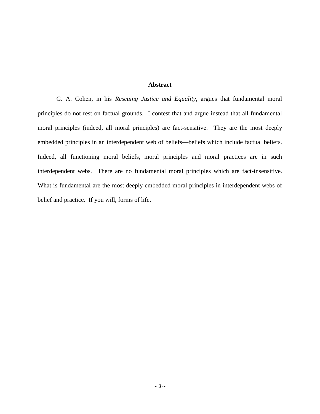# **Abstract**

G. A. Cohen, in his *Rescuing Justice and Equality*, argues that fundamental moral principles do not rest on factual grounds. I contest that and argue instead that all fundamental moral principles (indeed, all moral principles) are fact-sensitive. They are the most deeply embedded principles in an interdependent web of beliefs—beliefs which include factual beliefs. Indeed, all functioning moral beliefs, moral principles and moral practices are in such interdependent webs. There are no fundamental moral principles which are fact-insensitive. What is fundamental are the most deeply embedded moral principles in interdependent webs of belief and practice. If you will, forms of life.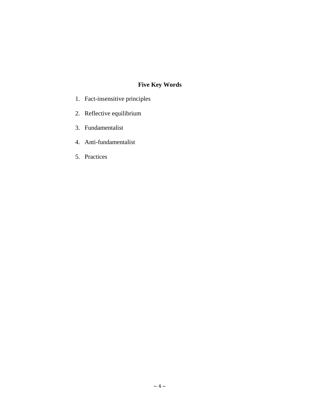# **Five Key Words**

- 1. Fact-insensitive principles
- 2. Reflective equilibrium
- 3. Fundamentalist
- 4. Anti-fundamentalist
- 5. Practices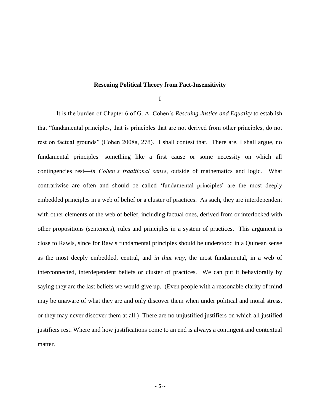## **Rescuing Political Theory from Fact-Insensitivity**

I

It is the burden of Chapter 6 of G. A. Cohen's *Rescuing Justice and Equality* to establish that "fundamental principles, that is principles that are not derived from other principles, do not rest on factual grounds" (Cohen 2008a, 278). I shall contest that. There are, I shall argue, no fundamental principles—something like a first cause or some necessity on which all contingencies rest—*in Cohen's traditional sense*, outside of mathematics and logic. What contrariwise are often and should be called 'fundamental principles' are the most deeply embedded principles in a web of belief or a cluster of practices. As such, they are interdependent with other elements of the web of belief, including factual ones, derived from or interlocked with other propositions (sentences), rules and principles in a system of practices. This argument is close to Rawls, since for Rawls fundamental principles should be understood in a Quinean sense as the most deeply embedded, central, and *in that way*, the most fundamental, in a web of interconnected, interdependent beliefs or cluster of practices. We can put it behaviorally by saying they are the last beliefs we would give up. (Even people with a reasonable clarity of mind may be unaware of what they are and only discover them when under political and moral stress, or they may never discover them at all.) There are no unjustified justifiers on which all justified justifiers rest. Where and how justifications come to an end is always a contingent and contextual matter.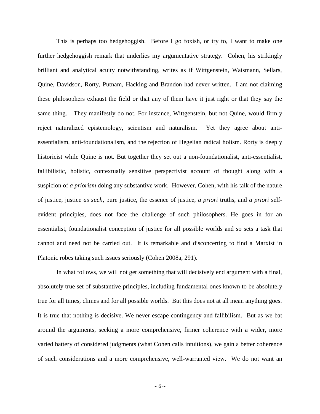This is perhaps too hedgehoggish. Before I go foxish, or try to, I want to make one further hedgehoggish remark that underlies my argumentative strategy. Cohen, his strikingly brilliant and analytical acuity notwithstanding, writes as if Wittgenstein, Waismann, Sellars, Quine, Davidson, Rorty, Putnam, Hacking and Brandon had never written. I am not claiming these philosophers exhaust the field or that any of them have it just right or that they say the same thing. They manifestly do not. For instance, Wittgenstein, but not Quine, would firmly reject naturalized epistemology, scientism and naturalism. Yet they agree about antiessentialism, anti-foundationalism, and the rejection of Hegelian radical holism. Rorty is deeply historicist while Quine is not. But together they set out a non-foundationalist, anti-essentialist, fallibilistic, holistic, contextually sensitive perspectivist account of thought along with a suspicion of *a priorism* doing any substantive work. However, Cohen, with his talk of the nature of justice, justice *as such*, pure justice, the essence of justice, *a priori* truths, and *a priori* selfevident principles, does not face the challenge of such philosophers. He goes in for an essentialist, foundationalist conception of justice for all possible worlds and so sets a task that cannot and need not be carried out. It is remarkable and disconcerting to find a Marxist in Platonic robes taking such issues seriously (Cohen 2008a, 291).

In what follows, we will not get something that will decisively end argument with a final, absolutely true set of substantive principles, including fundamental ones known to be absolutely true for all times, climes and for all possible worlds. But this does not at all mean anything goes. It is true that nothing is decisive. We never escape contingency and fallibilism. But as we bat around the arguments, seeking a more comprehensive, firmer coherence with a wider, more varied battery of considered judgments (what Cohen calls intuitions), we gain a better coherence of such considerations and a more comprehensive, well-warranted view. We do not want an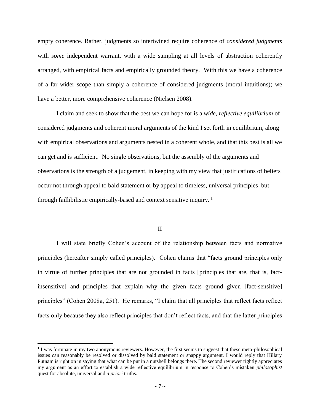empty coherence. Rather, judgments so intertwined require coherence of *considered judgments* with *some* independent warrant, with a wide sampling at all levels of abstraction coherently arranged, with empirical facts and empirically grounded theory. With this we have a coherence of a far wider scope than simply a coherence of considered judgments (moral intuitions); we have a better, more comprehensive coherence (Nielsen 2008).

I claim and seek to show that the best we can hope for is a *wide, reflective equilibrium* of considered judgments and coherent moral arguments of the kind I set forth in equilibrium, along with empirical observations and arguments nested in a coherent whole, and that this best is all we can get and is sufficient. No single observations, but the assembly of the arguments and observations is the strength of a judgement, in keeping with my view that justifications of beliefs occur not through appeal to bald statement or by appeal to timeless, universal principles but through faillibilistic empirically-based and context sensitive inquiry.  $\frac{1}{1}$ 

# II

I will state briefly Cohen's account of the relationship between facts and normative principles (hereafter simply called principles). Cohen claims that "facts ground principles only in virtue of further principles that are not grounded in facts [principles that are, that is, factinsensitive] and principles that explain why the given facts ground given [fact-sensitive] principles" (Cohen 2008a, 251). He remarks, "I claim that all principles that reflect facts reflect facts only because they also reflect principles that don't reflect facts, and that the latter principles

 $\overline{\phantom{a}}$ 

<sup>&</sup>lt;sup>1</sup> I was fortunate in my two anonymous reviewers. However, the first seems to suggest that these meta-philosophical issues can reasonably be resolved or dissolved by bald statement or snappy argument. I would reply that Hillary Putnam is right on in saying that what can be put in a nutshell belongs there. The second reviewer rightly appreciates my argument as an effort to establish a wide reflective equilibrium in response to Cohen's mistaken *philosophist* quest for absolute, universal and *a priori* truths.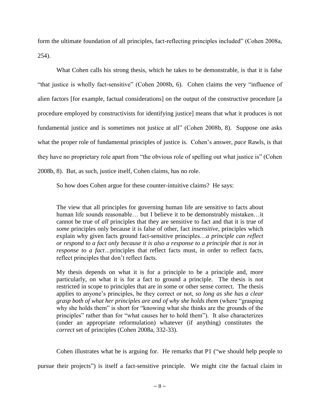form the ultimate foundation of all principles, fact-reflecting principles included" (Cohen 2008a, 254).

What Cohen calls his strong thesis, which he takes to be demonstrable, is that it is false "that justice is wholly fact-sensitive" (Cohen 2008b, 6). Cohen claims the very "influence of alien factors [for example, factual considerations] on the output of the constructive procedure [a procedure employed by constructivists for identifying justice] means that what it produces is not fundamental justice and is sometimes not justice at all" (Cohen 2008b, 8). Suppose one asks what the proper role of fundamental principles of justice is. Cohen's answer, *pace* Rawls, is that they have no proprietary role apart from "the obvious role of spelling out what justice is" (Cohen 2008b, 8). But, as such, justice itself, Cohen claims, has no role.

So how does Cohen argue for these counter-intuitive claims? He says:

The view that all principles for governing human life are sensitive to facts about human life sounds reasonable… but I believe it to be demonstrably mistaken…it cannot be true of *all* principles that they are sensitive to fact and that it is true of *some* principles only because it is false of other, fact *insensitive*, principles which explain why given facts ground fact-sensitive principles…*a principle can reflect or respond to a fact only because it is also a response to a principle that is not in response to a fact…*principles that reflect facts must, in order to reflect facts, reflect principles that don't reflect facts.

My thesis depends on what it is for a principle to be a principle and, more particularly, on what it is for a fact to ground a principle. The thesis is not restricted in scope to principles that are in some or other sense correct. The thesis applies to anyone's principles, be they correct or not, *so long as she has a clear grasp both of what her principles are and of why she holds them* (where "grasping why she holds them" is short for "knowing what she thinks are the grounds of the principles" rather than for "what causes her to hold them"). It also characterizes (under an appropriate reformulation) whatever (if anything) constitutes the *correct* set of principles (Cohen 2008a, 332-33).

Cohen illustrates what he is arguing for. He remarks that P1 ("we should help people to

pursue their projects") is itself a fact-sensitive principle. We might cite the factual claim in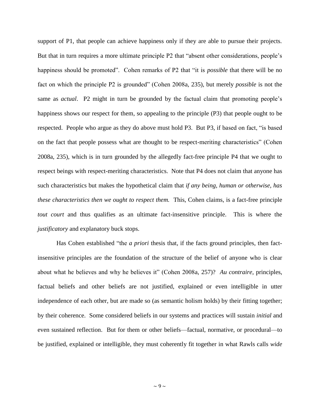support of P1, that people can achieve happiness only if they are able to pursue their projects. But that in turn requires a more ultimate principle P2 that "absent other considerations, people's happiness should be promoted". Cohen remarks of P2 that "it is *possible* that there will be no fact on which the principle P2 is grounded" (Cohen 2008a, 235), but merely *possible* is not the same as *actual*. P2 might in turn be grounded by the factual claim that promoting people's happiness shows our respect for them, so appealing to the principle (P3) that people ought to be respected. People who argue as they do above must hold P3. But P3, if based on fact, "is based on the fact that people possess what are thought to be respect-meriting characteristics" (Cohen 2008a, 235), which is in turn grounded by the allegedly fact-free principle P4 that we ought to respect beings with respect-meriting characteristics. Note that P4 does not claim that anyone has such characteristics but makes the hypothetical claim that *if any being, human or otherwise, has these characteristics then we ought to respect them.* This, Cohen claims, is a fact-free principle *tout court* and thus qualifies as an ultimate fact-insensitive principle. This is where the *justificatory* and explanatory buck stops.

Has Cohen established "the *a priori* thesis that, if the facts ground principles, then factinsensitive principles are the foundation of the structure of the belief of anyone who is clear about what he believes and why he believes it" (Cohen 2008a, 257)? *Au contraire*, principles, factual beliefs and other beliefs are not justified, explained or even intelligible in utter independence of each other, but are made so (as semantic holism holds) by their fitting together; by their coherence. Some considered beliefs in our systems and practices will sustain *initial* and even sustained reflection. But for them or other beliefs—factual, normative, or procedural—to be justified, explained or intelligible, they must coherently fit together in what Rawls calls *wide*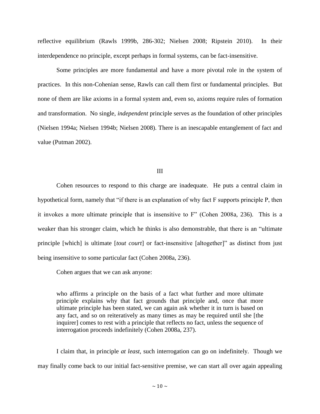reflective equilibrium (Rawls 1999b, 286-302; Nielsen 2008; Ripstein 2010). In their interdependence no principle, except perhaps in formal systems, can be fact-insensitive.

Some principles are more fundamental and have a more pivotal role in the system of practices. In this non-Cohenian sense, Rawls can call them first or fundamental principles. But none of them are like axioms in a formal system and, even so, axioms require rules of formation and transformation. No single, *independent* principle serves as the foundation of other principles (Nielsen 1994a; Nielsen 1994b; Nielsen 2008). There is an inescapable entanglement of fact and value (Putman 2002).

## III

Cohen resources to respond to this charge are inadequate. He puts a central claim in hypothetical form, namely that "if there is an explanation of why fact F supports principle P, then it invokes a more ultimate principle that is insensitive to F" (Cohen 2008a, 236). This is a weaker than his stronger claim, which he thinks is also demonstrable, that there is an "ultimate principle [which] is ultimate [*tout court*] or fact-insensitive [altogether]" as distinct from just being insensitive to some particular fact (Cohen 2008a, 236).

Cohen argues that we can ask anyone:

who affirms a principle on the basis of a fact what further and more ultimate principle explains why that fact grounds that principle and, once that more ultimate principle has been stated, we can again ask whether it in turn is based on any fact, and so on reiteratively as many times as may be required until she [the inquirer] comes to rest with a principle that reflects no fact, unless the sequence of interrogation proceeds indefinitely (Cohen 2008a, 237).

I claim that, in principle *at least*, such interrogation can go on indefinitely. Though we may finally come back to our initial fact-sensitive premise, we can start all over again appealing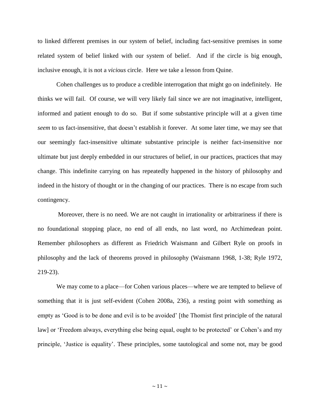to linked different premises in our system of belief, including fact-sensitive premises in some related system of belief linked with our system of belief. And if the circle is big enough, inclusive enough, it is not a *vicious* circle. Here we take a lesson from Quine.

Cohen challenges us to produce a credible interrogation that might go on indefinitely. He thinks we will fail. Of course, we will very likely fail since we are not imaginative, intelligent, informed and patient enough to do so. But if some substantive principle will at a given time *seem* to us fact-insensitive, that doesn't establish it forever. At some later time, we may see that our seemingly fact-insensitive ultimate substantive principle is neither fact-insensitive nor ultimate but just deeply embedded in our structures of belief, in our practices, practices that may change. This indefinite carrying on has repeatedly happened in the history of philosophy and indeed in the history of thought or in the changing of our practices. There is no escape from such contingency.

Moreover, there is no need. We are not caught in irrationality or arbitrariness if there is no foundational stopping place, no end of all ends, no last word, no Archimedean point. Remember philosophers as different as Friedrich Waismann and Gilbert Ryle on proofs in philosophy and the lack of theorems proved in philosophy (Waismann 1968, 1-38; Ryle 1972, 219-23).

We may come to a place—for Cohen various places—where we are tempted to believe of something that it is just self-evident (Cohen 2008a, 236), a resting point with something as empty as 'Good is to be done and evil is to be avoided' [the Thomist first principle of the natural law] or 'Freedom always, everything else being equal, ought to be protected' or Cohen's and my principle, 'Justice is equality'. These principles, some tautological and some not, may be good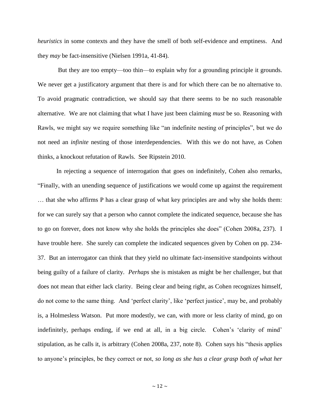*heuristics* in some contexts and they have the smell of both self-evidence and emptiness. And they *may* be fact-insensitive (Nielsen 1991a, 41-84).

But they are too empty—too thin—to explain why for a grounding principle it grounds. We never get a justificatory argument that there is and for which there can be no alternative to. To avoid pragmatic contradiction, we should say that there seems to be no such reasonable alternative. We are not claiming that what I have just been claiming *must* be so. Reasoning with Rawls, we might say we require something like "an indefinite nesting of principles", but we do not need an *infinite* nesting of those interdependencies. With this we do not have, as Cohen thinks, a knockout refutation of Rawls. See Ripstein 2010.

In rejecting a sequence of interrogation that goes on indefinitely, Cohen also remarks, "Finally, with an unending sequence of justifications we would come up against the requirement … that she who affirms P has a clear grasp of what key principles are and why she holds them: for we can surely say that a person who cannot complete the indicated sequence, because she has to go on forever, does not know why she holds the principles she does" (Cohen 2008a, 237). I have trouble here. She surely can complete the indicated sequences given by Cohen on pp. 234- 37. But an interrogator can think that they yield no ultimate fact-insensitive standpoints without being guilty of a failure of clarity. *Perhaps* she is mistaken as might be her challenger, but that does not mean that either lack clarity. Being clear and being right, as Cohen recognizes himself, do not come to the same thing. And 'perfect clarity', like 'perfect justice', may be, and probably is, a Holmesless Watson. Put more modestly, we can, with more or less clarity of mind, go on indefinitely, perhaps ending, if we end at all, in a big circle. Cohen's 'clarity of mind' stipulation, as he calls it, is arbitrary (Cohen 2008a, 237, note 8). Cohen says his "thesis applies to anyone's principles, be they correct or not, *so long as she has a clear grasp both of what her*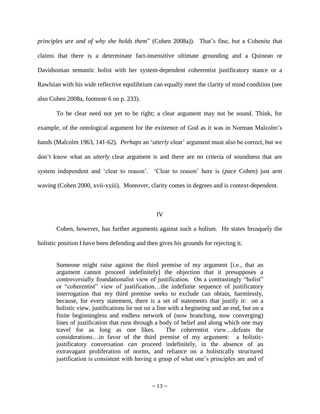*principles are and of why she holds them*" (Cohen 2008a)). That's fine, but a Cohenite that claims that there is a determinate fact-insensitive ultimate grounding and a Quinean or Davidsonian semantic holist with her system-dependent coherentist justificatory stance or a Rawlsian with his *wide* reflective equilibrium can equally meet the clarity of mind condition (see also Cohen 2008a, footnote 6 on p. 233).

To be clear need not yet to be right; a clear argument may not be sound. Think, for example, of the ontological argument for the existence of God as it was in Norman Malcolm's hands (Malcolm 1963, 141-62). *Perhaps* an '*utterly* clear' argument must also be correct, but we don't know what an *utterly* clear argument is and there are no criteria of soundness that are system independent and 'clear to reason'. 'Clear to reason' here is (*pace* Cohen) just arm waving (Cohen 2000, xvii-xxiii). Moreover, clarity comes in degrees and is context-dependent.

# IV

Cohen, however, has further arguments against such a holism. He states brusquely the holistic position I have been defending and then gives his grounds for rejecting it.

Someone might raise against the third premise of my argument [i.e., that an argument cannot proceed indefinitely] the objection that it presupposes a controversially foundationalist view of justification. On a contrastingly "holist" or "coherentist" view of justification…the indefinite sequence of justificatory interrogation that my third premise seeks to exclude can obtain, harmlessly, because, for every statement, there is a set of statements that justify it: on a holistic view, justifications lie not on a line with a beginning and an end, but on a finite beginningless and endless network of (now branching, now converging) lines of justification that runs through a body of belief and along which one may travel for as long as one likes. The coherentist view…defeats the considerations…in favor of the third premise of my argument: a holisticjustificatory conversation *can* proceed indefinitely, in the absence of an extravagant proliferation of norms, and reliance on a holistically structured justification is consistent with having a grasp of what one's principles are and of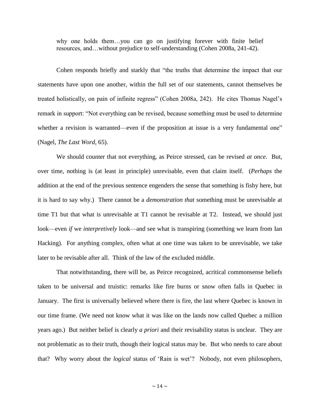why one holds them…you can go on justifying forever with finite belief resources, and…without prejudice to self-understanding (Cohen 2008a, 241-42).

Cohen responds briefly and starkly that "the truths that determine the impact that our statements have upon one another, within the full set of our statements, cannot themselves be treated holistically, on pain of infinite regress" (Cohen 2008a, 242). He cites Thomas Nagel's remark in support: "Not everything can be revised, because something must be used to determine whether a revision is warranted—even if the proposition at issue is a very fundamental one" (Nagel, *The Last Word*, 65).

We should counter that not everything, as Peirce stressed, can be revised *at once*. But, over time, nothing is (at least in principle) unrevisable, even that claim itself. (*Perhaps* the addition at the end of the previous sentence engenders the sense that something is fishy here, but it is hard to say why.) There cannot be a *demonstration that* something must be unrevisable at time T1 but that what is unrevisable at T1 cannot be revisable at T2. Instead, we should just look—even *if* we *interpretively* look—and see what is transpiring (something we learn from Ian Hacking). For anything complex, often what at one time was taken to be unrevisable, we take later to be revisable after all. Think of the law of the excluded middle.

That notwithstanding, there will be, as Peirce recognized, acritical commonsense beliefs taken to be universal and truistic: remarks like fire burns or snow often falls in Quebec in January. The first is universally believed where there is fire, the last where Quebec is known in our time frame. (We need not know what it was like on the lands now called Quebec a million years ago.) But neither belief is clearly *a priori* and their revisability status is unclear. They are not problematic as to their truth, though their logical status may be. But who needs to care about that? Why worry about the *logical* status of 'Rain is wet'? Nobody, not even philosophers,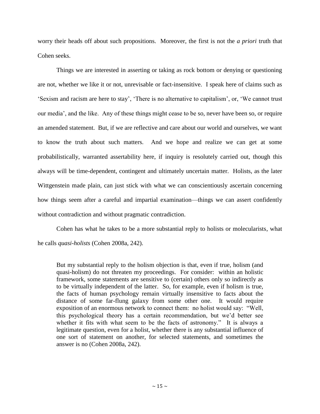worry their heads off about such propositions. Moreover, the first is not the *a priori* truth that Cohen seeks.

Things we are interested in asserting or taking as rock bottom or denying or questioning are not, whether we like it or not, unrevisable or fact-insensitive. I speak here of claims such as 'Sexism and racism are here to stay', 'There is no alternative to capitalism', or, 'We cannot trust our media', and the like. Any of these things might cease to be so, never have been so, or require an amended statement. But, if we are reflective and care about our world and ourselves, we want to know the truth about such matters. And we hope and realize we can get at some probabilistically, warranted assertability here, if inquiry is resolutely carried out, though this always will be time-dependent, contingent and ultimately uncertain matter. Holists, as the later Wittgenstein made plain, can just stick with what we can conscientiously ascertain concerning how things seem after a careful and impartial examination—things we can assert confidently without contradiction and without pragmatic contradiction.

Cohen has what he takes to be a more substantial reply to holists or molecularists, what he calls *quasi-holists* (Cohen 2008a, 242).

But my substantial reply to the holism objection is that, even if true, holism (and quasi-holism) do not threaten my proceedings. For consider: within an holistic framework, some statements are sensitive to (certain) others only so indirectly as to be virtually independent of the latter. So, for example, even if holism is true, the facts of human psychology remain virtually insensitive to facts about the distance of some far-flung galaxy from some other one. It would require exposition of an enormous network to connect them: no holist would say: "Well, this psychological theory has a certain recommendation, but we'd better see whether it fits with what seem to be the facts of astronomy." It is always a legitimate question, even for a holist, whether there is any substantial influence of one sort of statement on another, for selected statements, and sometimes the answer is no (Cohen 2008a, 242).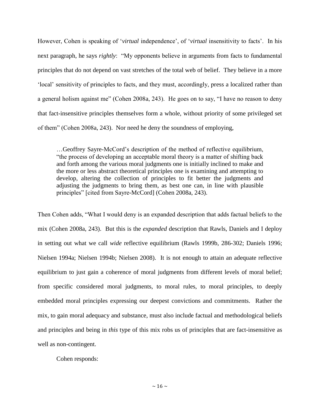However, Cohen is speaking of '*virtual* independence', of '*virtual* insensitivity to facts'. In his next paragraph, he says *rightly*: "My opponents believe in arguments from facts to fundamental principles that do not depend on vast stretches of the total web of belief. They believe in a more 'local' sensitivity of principles to facts, and they must, accordingly, press a localized rather than a general holism against me" (Cohen 2008a, 243). He goes on to say, "I have no reason to deny that fact-insensitive principles themselves form a whole, without priority of some privileged set of them" (Cohen 2008a, 243). Nor need he deny the soundness of employing,

…Geoffrey Sayre-McCord's description of the method of reflective equilibrium, "the process of developing an acceptable moral theory is a matter of shifting back and forth among the various moral judgments one is initially inclined to make and the more or less abstract theoretical principles one is examining and attempting to develop, altering the collection of principles to fit better the judgments and adjusting the judgments to bring them, as best one can, in line with plausible principles" [cited from Sayre-McCord] (Cohen 2008a, 243).

Then Cohen adds, "What I would deny is an expanded description that adds factual beliefs to the mix (Cohen 2008a, 243). But this is the *expanded* description that Rawls, Daniels and I deploy in setting out what we call *wide* reflective equilibrium (Rawls 1999b, 286-302; Daniels 1996; Nielsen 1994a; Nielsen 1994b; Nielsen 2008). It is not enough to attain an adequate reflective equilibrium to just gain a coherence of moral judgments from different levels of moral belief; from specific considered moral judgments, to moral rules, to moral principles, to deeply embedded moral principles expressing our deepest convictions and commitments. Rather the mix, to gain moral adequacy and substance, must also include factual and methodological beliefs and principles and being in *this* type of this mix robs us of principles that are fact-insensitive as well as non-contingent.

Cohen responds: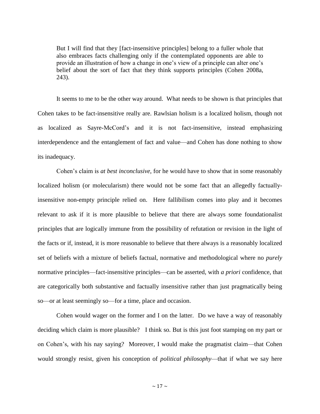But I will find that they [fact-insensitive principles] belong to a fuller whole that also embraces facts challenging only if the contemplated opponents are able to provide an illustration of how a change in one's view of a principle can alter one's belief about the sort of fact that they think supports principles (Cohen 2008a, 243).

It seems to me to be the other way around. What needs to be shown is that principles that Cohen takes to be fact-insensitive really are. Rawlsian holism is a localized holism, though not as localized as Sayre-McCord's and it is not fact-insensitive, instead emphasizing interdependence and the entanglement of fact and value—and Cohen has done nothing to show its inadequacy.

Cohen's claim is *at best inconclusive*, for he would have to show that in some reasonably localized holism (or molecularism) there would not be some fact that an allegedly factuallyinsensitive non-empty principle relied on. Here fallibilism comes into play and it becomes relevant to ask if it is more plausible to believe that there are always some foundationalist principles that are logically immune from the possibility of refutation or revision in the light of the facts or if, instead, it is more reasonable to believe that there always is a reasonably localized set of beliefs with a mixture of beliefs factual, normative and methodological where no *purely* normative principles—fact-insensitive principles—can be asserted, with *a priori* confidence, that are categorically both substantive and factually insensitive rather than just pragmatically being so—or at least seemingly so—for a time, place and occasion.

Cohen would wager on the former and I on the latter. Do we have a way of reasonably deciding which claim is more plausible? I think so. But is this just foot stamping on my part or on Cohen's, with his nay saying? Moreover, I would make the pragmatist claim—that Cohen would strongly resist, given his conception of *political philosophy*—that if what we say here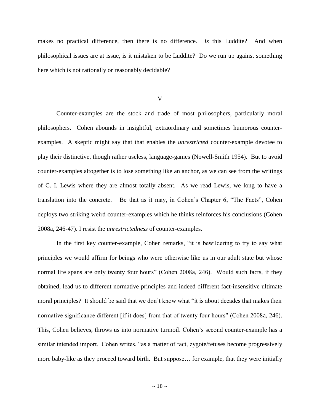makes no practical difference, then there is no difference. *Is* this Luddite? And when philosophical issues are at issue, is it mistaken to be Luddite? Do we run up against something here which is not rationally or reasonably decidable?

V

Counter-examples are the stock and trade of most philosophers, particularly moral philosophers. Cohen abounds in insightful, extraordinary and sometimes humorous counterexamples. A skeptic might say that that enables the *unrestricted* counter-example devotee to play their distinctive, though rather useless, language-games (Nowell-Smith 1954). But to avoid counter-examples altogether is to lose something like an anchor, as we can see from the writings of C. I. Lewis where they are almost totally absent. As we read Lewis, we long to have a translation into the concrete. Be that as it may, in Cohen's Chapter 6, "The Facts", Cohen deploys two striking weird counter-examples which he thinks reinforces his conclusions (Cohen 2008a, 246-47). I resist the *unrestrictedness* of counter-examples.

In the first key counter-example, Cohen remarks, "it is bewildering to try to say what principles we would affirm for beings who were otherwise like us in our adult state but whose normal life spans are only twenty four hours" (Cohen 2008a, 246). Would such facts, if they obtained, lead us to different normative principles and indeed different fact-insensitive ultimate moral principles? It should be said that we don't know what "it is about decades that makes their normative significance different [if it does] from that of twenty four hours" (Cohen 2008a, 246). This, Cohen believes, throws us into normative turmoil. Cohen's second counter-example has a similar intended import. Cohen writes, "as a matter of fact, zygote/fetuses become progressively more baby-like as they proceed toward birth. But suppose… for example, that they were initially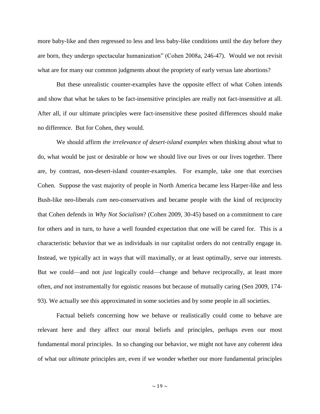more baby-like and then regressed to less and less baby-like conditions until the day before they are born, they undergo spectacular humanization" (Cohen 2008a, 246-47). Would we not revisit what are for many our common judgments about the propriety of early versus late abortions?

But these unrealistic counter-examples have the opposite effect of what Cohen intends and show that what he takes to be fact-insensitive principles are really not fact-insensitive at all. After all, if our ultimate principles were fact-insensitive these posited differences should make no difference. But for Cohen, they would.

We should affirm *the irrelevance of desert-island examples* when thinking about what to do, what would be just or desirable or how we should live our lives or our lives together. There are, by contrast, non-desert-island counter-examples. For example, take one that exercises Cohen. Suppose the vast majority of people in North America became less Harper-like and less Bush-like neo-liberals *cum* neo-conservatives and became people with the kind of reciprocity that Cohen defends in *Why Not Socialism*? (Cohen 2009, 30-45) based on a commitment to care for others and in turn, to have a well founded expectation that one will be cared for. This is a characteristic behavior that we as individuals in our capitalist orders do not centrally engage in. Instead, we typically act in ways that will maximally, or at least optimally, serve our interests. But we could—and not *just* logically could—change and behave reciprocally, at least more often, *and* not instrumentally for egoistic reasons but because of mutually caring (Sen 2009, 174- 93). We actually see this approximated in some societies and by some people in all societies.

Factual beliefs concerning how we behave or realistically could come to behave are relevant here and they affect our moral beliefs and principles, perhaps even our most fundamental moral principles. In so changing our behavior, we might not have any coherent idea of what our *ultimate* principles are, even if we wonder whether our more fundamental principles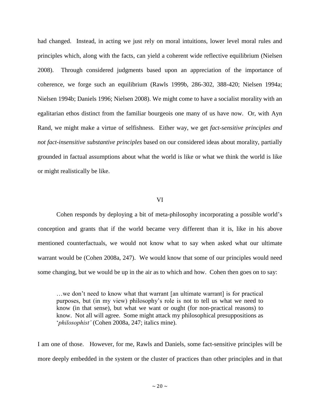had changed. Instead, in acting we just rely on moral intuitions, lower level moral rules and principles which, along with the facts, can yield a coherent wide reflective equilibrium (Nielsen 2008). Through considered judgments based upon an appreciation of the importance of coherence, we forge such an equilibrium (Rawls 1999b, 286-302, 388-420; Nielsen 1994a; Nielsen 1994b; Daniels 1996; Nielsen 2008). We might come to have a socialist morality with an egalitarian ethos distinct from the familiar bourgeois one many of us have now. Or, with Ayn Rand, we might make a virtue of selfishness. Either way, we get *fact-sensitive principles and not fact-insensitive substantive principles* based on our considered ideas about morality, partially grounded in factual assumptions about what the world is like or what we think the world is like or might realistically be like.

## VI

Cohen responds by deploying a bit of meta-philosophy incorporating a possible world's conception and grants that if the world became very different than it is, like in his above mentioned counterfactuals, we would not know what to say when asked what our ultimate warrant would be (Cohen 2008a, 247). We would know that some of our principles would need some changing, but we would be up in the air as to which and how. Cohen then goes on to say:

…we don't need to know what that warrant [an ultimate warrant] is for practical purposes, but (in my view) philosophy's role is not to tell us what we need to know (in that sense), but what we want or ought (for non-practical reasons) to know. Not all will agree. Some might attack my philosophical presuppositions as '*philosophist'* (Cohen 2008a, 247; italics mine).

I am one of those. However, for me, Rawls and Daniels, some fact-sensitive principles will be more deeply embedded in the system or the cluster of practices than other principles and in that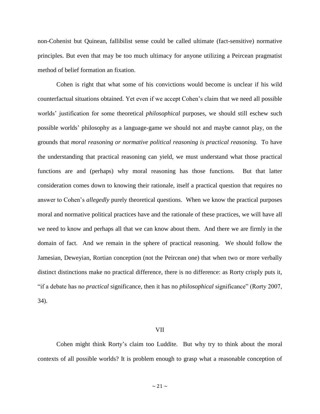non-Cohenist but Quinean, fallibilist sense could be called ultimate (fact-sensitive) normative principles. But even that may be too much ultimacy for anyone utilizing a Peircean pragmatist method of belief formation an fixation.

Cohen is right that what some of his convictions would become is unclear if his wild counterfactual situations obtained. Yet even if we accept Cohen's claim that we need all possible worlds' justification for some theoretical *philosophical* purposes, we should still eschew such possible worlds' philosophy as a language-game we should not and maybe cannot play, on the grounds that *moral reasoning or normative political reasoning is practical reasoning.* To have the understanding that practical reasoning can yield, we must understand what those practical functions are and (perhaps) why moral reasoning has those functions. But that latter consideration comes down to knowing their rationale, itself a practical question that requires no answer to Cohen's *allegedly* purely theoretical questions. When we know the practical purposes moral and normative political practices have and the rationale of these practices, we will have all we need to know and perhaps all that we can know about them. And there we are firmly in the domain of fact. And we remain in the sphere of practical reasoning. We should follow the Jamesian, Deweyian, Rortian conception (not the Peircean one) that when two or more verbally distinct distinctions make no practical difference, there is no difference: as Rorty crisply puts it, "if a debate has no *practical* significance, then it has no *philosophical* significance" (Rorty 2007, 34).

#### VII

Cohen might think Rorty's claim too Luddite. But why try to think about the moral contexts of all possible worlds? It is problem enough to grasp what a reasonable conception of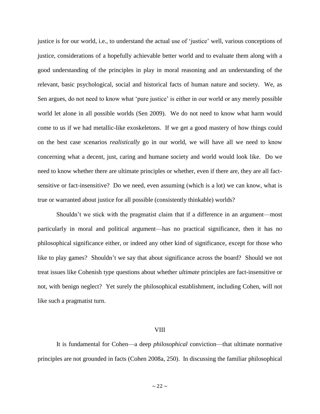justice is for our world, i.e., to understand the actual use of 'justice' well, various conceptions of justice, considerations of a hopefully achievable better world and to evaluate them along with a good understanding of the principles in play in moral reasoning and an understanding of the relevant, basic psychological, social and historical facts of human nature and society. We, as Sen argues, do not need to know what 'pure justice' is either in our world or any merely possible world let alone in all possible worlds (Sen 2009). We do not need to know what harm would come to us if we had metallic-like exoskeletons. If we get a good mastery of how things could on the best case scenarios *realistically* go in our world, we will have all we need to know concerning what a decent, just, caring and humane society and world would look like. Do we need to know whether there are ultimate principles or whether, even if there are, they are all factsensitive or fact-insensitive? Do we need, even assuming (which is a lot) we can know, what is true or warranted about justice for all possible (consistently thinkable) worlds?

Shouldn't we stick with the pragmatist claim that if a difference in an argument—most particularly in moral and political argument—has no practical significance, then it has no philosophical significance either, or indeed any other kind of significance, except for those who like to play games? Shouldn't we say that about significance across the board? Should we not treat issues like Cohenish type questions about whether *ultimate* principles are fact-insensitive or not, with benign neglect? Yet surely the philosophical establishment, including Cohen, will not like such a pragmatist turn.

#### VIII

It is fundamental for Cohen—a deep *philosophical* conviction—that ultimate normative principles are not grounded in facts (Cohen 2008a, 250). In discussing the familiar philosophical

 $\sim$  22  $\sim$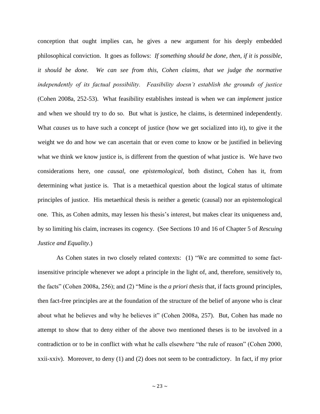conception that ought implies can, he gives a new argument for his deeply embedded philosophical conviction. It goes as follows: *If something should be done, then, if it is possible, it should be done. We can see from this, Cohen claims, that we judge the normative independently of its factual possibility. Feasibility doesn't establish the grounds of justice*  (Cohen 2008a, 252-53). What feasibility establishes instead is when we can *implement* justice and when we should try to do so. But what is justice, he claims, is determined independently. What *causes* us to have such a concept of justice (how we get socialized into it), to give it the weight we do and how we can ascertain that or even come to know or be justified in believing what we think we know justice is, is different from the question of what justice is. We have two considerations here, one *causal*, one *epistemological,* both distinct, Cohen has it, from determining what justice is. That is a metaethical question about the logical status of ultimate principles of justice. His metaethical thesis is neither a genetic (causal) nor an epistemological one. This, as Cohen admits, may lessen his thesis's interest, but makes clear its uniqueness and, by so limiting his claim, increases its cogency. (See Sections 10 and 16 of Chapter 5 of *Rescuing Justice and Equality.*)

As Cohen states in two closely related contexts: (1) "We are committed to some factinsensitive principle whenever we adopt a principle in the light of, and, therefore, sensitively to, the facts" (Cohen 2008a, 256); and (2) "Mine is the *a priori thesis* that, if facts ground principles, then fact-free principles are at the foundation of the structure of the belief of anyone who is clear about what he believes and why he believes it" (Cohen 2008a, 257). But, Cohen has made no attempt to show that to deny either of the above two mentioned theses is to be involved in a contradiction or to be in conflict with what he calls elsewhere "the rule of reason" (Cohen 2000, xxii-xxiv). Moreover, to deny (1) and (2) does not seem to be contradictory. In fact, if my prior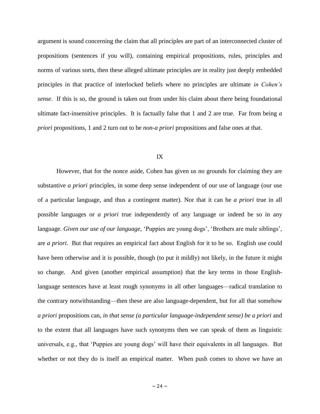argument is sound concerning the claim that all principles are part of an interconnected cluster of propositions (sentences if you will), containing empirical propositions, rules, principles and norms of various sorts, then these alleged ultimate principles are in reality just deeply embedded principles in that practice of interlocked beliefs where no principles are ultimate *in Cohen's sense*. If this is so, the ground is taken out from under his claim about there being foundational ultimate fact-insensitive principles. It is factually false that 1 and 2 are true. Far from being *a priori* propositions, 1 and 2 turn out to be *non-a priori* propositions and false ones at that.

## IX

However, that for the nonce aside, Cohen has given us no grounds for claiming they are substantive *a priori* principles, in some deep sense independent of our use of language (our use of a particular language, and thus a contingent matter). Nor that it can be *a priori* true in all possible languages or *a priori* true independently of any language or indeed be so in any language. *Given our use of our language,* 'Puppies are young dogs', 'Brothers are male siblings', are *a priori*. But that requires an empirical fact about English for it to be so. English use could have been otherwise and it is possible, though (to put it mildly) not likely, in the future it might so change. And given (another empirical assumption) that the key terms in those Englishlanguage sentences have at least rough synonyms in all other languages—radical translation to the contrary notwithstanding—then these are also language-dependent, but for all that somehow *a priori* propositions can, *in that sense (a particular language-independent sense) be a priori* and to the extent that all languages have such synonyms then we can speak of them as linguistic universals, e.g., that 'Puppies are young dogs' will have their equivalents in all languages. But whether or not they do is itself an empirical matter. When push comes to shove we have an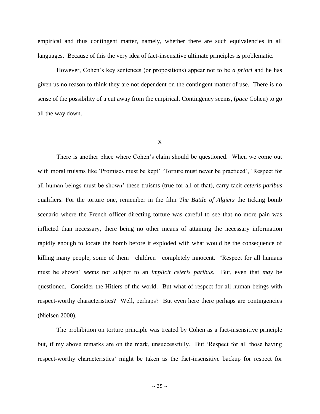empirical and thus contingent matter, namely, whether there are such equivalencies in all languages. Because of this the very idea of fact-insensitive ultimate principles is problematic.

However, Cohen's key sentences (or propositions) appear not to be *a priori* and he has given us no reason to think they are not dependent on the contingent matter of use. There is no sense of the possibility of a cut away from the empirical. Contingency seems, (*pace* Cohen) to go all the way down.

## X

There is another place where Cohen's claim should be questioned. When we come out with moral truisms like 'Promises must be kept' 'Torture must never be practiced', 'Respect for all human beings must be shown' these truisms (true for all of that), carry tacit *ceteris paribus* qualifiers. For the torture one, remember in the film *The Battle of Algiers* the ticking bomb scenario where the French officer directing torture was careful to see that no more pain was inflicted than necessary, there being no other means of attaining the necessary information rapidly enough to locate the bomb before it exploded with what would be the consequence of killing many people, some of them—children—completely innocent.'Respect for all humans must be shown' *seems* not subject to an *implicit ceteris paribus.* But, even that *may* be questioned. Consider the Hitlers of the world. But what of respect for all human beings with respect-worthy characteristics? Well, perhaps? But even here there perhaps are contingencies (Nielsen 2000).

The prohibition on torture principle was treated by Cohen as a fact-insensitive principle but, if my above remarks are on the mark, unsuccessfully. But 'Respect for all those having respect-worthy characteristics' might be taken as the fact-insensitive backup for respect for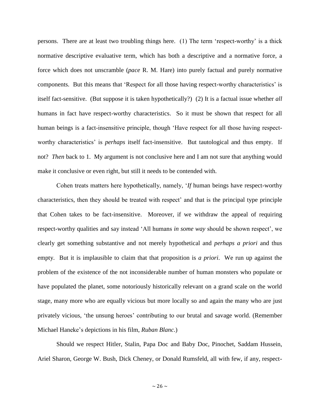persons. There are at least two troubling things here. (1) The term 'respect-worthy' is a thick normative descriptive evaluative term, which has both a descriptive and a normative force, a force which does not unscramble (*pace* R. M. Hare) into purely factual and purely normative components. But this means that 'Respect for all those having respect-worthy characteristics' is itself fact-sensitive. (But suppose it is taken hypothetically?) (2) It is a factual issue whether *all*  humans in fact have respect-worthy characteristics. So it must be shown that respect for all human beings is a fact-insensitive principle, though 'Have respect for all those having respectworthy characteristics' is *perhaps* itself fact-insensitive. But tautological and thus empty. If not? *Then* back to 1. My argument is not conclusive here and I am not sure that anything would make it conclusive or even right, but still it needs to be contended with.

Cohen treats matters here hypothetically, namely, '*If* human beings have respect-worthy characteristics, then they should be treated with respect' and that is the principal type principle that Cohen takes to be fact-insensitive. Moreover, if we withdraw the appeal of requiring respect-worthy qualities and say instead 'All humans *in some way* should be shown respect', we clearly get something substantive and not merely hypothetical and *perhaps a priori* and thus empty. But it is implausible to claim that that proposition is *a priori*. We run up against the problem of the existence of the not inconsiderable number of human monsters who populate or have populated the planet, some notoriously historically relevant on a grand scale on the world stage, many more who are equally vicious but more locally so and again the many who are just privately vicious, 'the unsung heroes' contributing to our brutal and savage world. (Remember Michael Haneke's depictions in his film, *Ruban Blanc*.)

Should we respect Hitler, Stalin, Papa Doc and Baby Doc, Pinochet, Saddam Hussein, Ariel Sharon, George W. Bush, Dick Cheney, or Donald Rumsfeld, all with few, if any, respect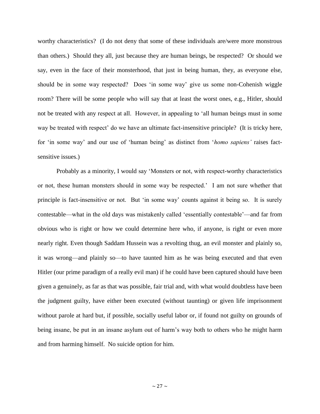worthy characteristics? (I do not deny that some of these individuals are/were more monstrous than others.) Should they all, just because they are human beings, be respected? Or should we say, even in the face of their monsterhood, that just in being human, they, as everyone else, should be in some way respected? Does 'in some way' give us some non-Cohenish wiggle room? There will be some people who will say that at least the worst ones, e.g., Hitler, should not be treated with any respect at all. However, in appealing to 'all human beings must in some way be treated with respect' do we have an ultimate fact-insensitive principle? (It is tricky here, for 'in some way' and our use of 'human being' as distinct from '*homo sapiens'* raises factsensitive issues.)

Probably as a minority, I would say 'Monsters or not, with respect-worthy characteristics or not, these human monsters should in some way be respected.' I am not sure whether that principle is fact-insensitive or not. But 'in some way' counts against it being so. It is surely contestable—what in the old days was mistakenly called 'essentially contestable'—and far from obvious who is right or how we could determine here who, if anyone, is right or even more nearly right. Even though Saddam Hussein was a revolting thug, an evil monster and plainly so, it was wrong—and plainly so—to have taunted him as he was being executed and that even Hitler (our prime paradigm of a really evil man) if he could have been captured should have been given a genuinely, as far as that was possible, fair trial and, with what would doubtless have been the judgment guilty, have either been executed (without taunting) or given life imprisonment without parole at hard but, if possible, socially useful labor or, if found not guilty on grounds of being insane, be put in an insane asylum out of harm's way both to others who he might harm and from harming himself. No suicide option for him.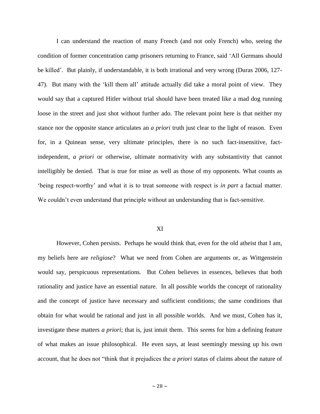I can understand the reaction of many French (and not only French) who, seeing the condition of former concentration camp prisoners returning to France, said 'All Germans should be killed'. But plainly, if understandable, it is both irrational and very wrong (Duras 2006, 127- 47). But many with the 'kill them all' attitude actually did take a moral point of view. They would say that a captured Hitler without trial should have been treated like a mad dog running loose in the street and just shot without further ado. The relevant point here is that neither my stance nor the opposite stance articulates an *a priori* truth just clear to the light of reason. Even for, in a Quinean sense, very ultimate principles, there is no such fact-insensitive, factindependent, *a priori* or otherwise, ultimate normativity with any substantivity that cannot intelligibly be denied. That is true for mine as well as those of my opponents. What counts as 'being respect-worthy' and what it is to treat someone with respect is *in part* a factual matter. We couldn't even understand that principle without an understanding that is fact-sensitive.

## XI

However, Cohen persists. Perhaps he would think that, even for the old atheist that I am, my beliefs here are *religiose*? What we need from Cohen are arguments or, as Wittgenstein would say, perspicuous representations. But Cohen believes in essences, believes that both rationality and justice have an essential nature. In all possible worlds the concept of rationality and the concept of justice have necessary and sufficient conditions; the same conditions that obtain for what would be rational and just in all possible worlds. And we must, Cohen has it, investigate these matters *a priori*; that is, just intuit them. This *seems* for him a defining feature of what makes an issue philosophical. He even says, at least seemingly messing up his own account, that he does not "think that it prejudices the *a priori* status of claims about the nature of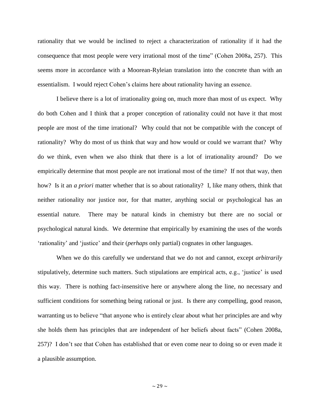rationality that we would be inclined to reject a characterization of rationality if it had the consequence that most people were very irrational most of the time" (Cohen 2008a, 257). This seems more in accordance with a Moorean-Ryleian translation into the concrete than with an essentialism. I would reject Cohen's claims here about rationality having an essence.

I believe there is a lot of irrationality going on, much more than most of us expect. Why do both Cohen and I think that a proper conception of rationality could not have it that most people are most of the time irrational? Why could that not be compatible with the concept of rationality? Why do most of us think that way and how would or could we warrant that? Why do we think, even when we also think that there is a lot of irrationality around? Do we empirically determine that most people are not irrational most of the time? If not that way, then how? Is it an *a priori* matter whether that is so about rationality? I, like many others, think that neither rationality nor justice nor, for that matter, anything social or psychological has an essential nature. There may be natural kinds in chemistry but there are no social or psychological natural kinds. We determine that empirically by examining the uses of the words 'rationality' and 'justice' and their (*perhaps* only partial) cognates in other languages.

When we do this carefully we understand that we do not and cannot, except *arbitrarily*  stipulatively, determine such matters. Such stipulations are empirical acts, e.g., 'justice' is used this way. There is nothing fact-insensitive here or anywhere along the line, no necessary and sufficient conditions for something being rational or just. Is there any compelling, good reason, warranting us to believe "that anyone who is entirely clear about what her principles are and why she holds them has principles that are independent of her beliefs about facts" (Cohen 2008a, 257)? I don't see that Cohen has established that or even come near to doing so or even made it a plausible assumption.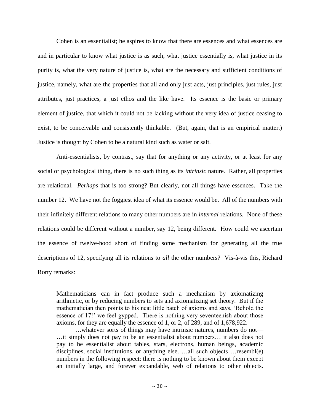Cohen is an essentialist; he aspires to know that there are essences and what essences are and in particular to know what justice is as such, what justice essentially is, what justice in its purity is, what the very nature of justice is, what are the necessary and sufficient conditions of justice, namely, what are the properties that all and only just acts, just principles, just rules, just attributes, just practices, a just ethos and the like have. Its essence is the basic or primary element of justice, that which it could not be lacking without the very idea of justice ceasing to exist, to be conceivable and consistently thinkable. (But, again, that is an empirical matter.) Justice is thought by Cohen to be a natural kind such as water or salt.

Anti-essentialists, by contrast, say that for anything or any activity, or at least for any social or psychological thing, there is no such thing as its *intrinsic* nature. Rather, all properties are relational. *Perhaps* that is too strong? But clearly, not all things have essences. Take the number 12. We have not the foggiest idea of what its essence would be. All of the numbers with their infinitely different relations to many other numbers are in *internal* relations. None of these relations could be different without a number, say 12, being different. How could we ascertain the essence of twelve-hood short of finding some mechanism for generating all the true descriptions of 12, specifying all its relations to *all* the other numbers? Vis-à-vis this, Richard Rorty remarks:

Mathematicians can in fact produce such a mechanism by axiomatizing arithmetic, or by reducing numbers to sets and axiomatizing set theory. But if the mathematician then points to his neat little batch of axioms and says, 'Behold the essence of 17!' we feel gypped. There is nothing very seventeenish about those axioms, for they are equally the essence of 1, or 2, of 289, and of 1,678,922.

…whatever sorts of things may have intrinsic natures, numbers do not— …it simply does not pay to be an essentialist about numbers… it also does not pay to be essentialist about tables, stars, electrons, human beings, academic disciplines, social institutions, or anything else. …all such objects …resembl(e) numbers in the following respect: there is nothing to be known about them except an initially large, and forever expandable, web of relations to other objects.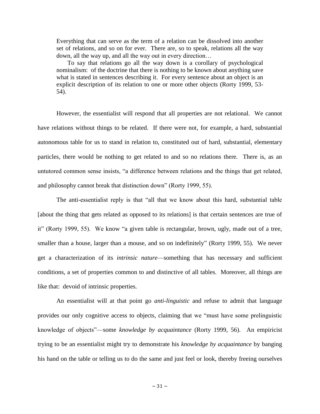Everything that can serve as the term of a relation can be dissolved into another set of relations, and so on for ever. There are, so to speak, relations all the way down, all the way up, and all the way out in every direction…

 To say that relations go all the way down is a corollary of psychological nominalism: of the doctrine that there is nothing to be known about anything save what is stated in sentences describing it. For every sentence about an object is an explicit description of its relation to one or more other objects (Rorty 1999, 53- 54).

However, the essentialist will respond that all properties are not relational. We cannot have relations without things to be related. If there were not, for example, a hard, substantial autonomous table for us to stand in relation to, constituted out of hard, substantial, elementary particles, there would be nothing to get related to and so no relations there. There is, as an untutored common sense insists, "a difference between relations and the things that get related, and philosophy cannot break that distinction down" (Rorty 1999, 55).

The anti-essentialist reply is that "all that we know about this hard, substantial table [about the thing that gets related as opposed to its relations] is that certain sentences are true of it" (Rorty 1999, 55). We know "a given table is rectangular, brown, ugly, made out of a tree, smaller than a house, larger than a mouse, and so on indefinitely" (Rorty 1999, 55). We never get a characterization of its *intrinsic nature*—something that has necessary and sufficient conditions, a set of properties common to and distinctive of all tables. Moreover, all things are like that: devoid of intrinsic properties.

An essentialist will at that point go *anti-linguistic* and refuse to admit that language provides our only cognitive access to objects, claiming that we "must have some prelinguistic knowledge of objects"—some *knowledge by acquaintance* (Rorty 1999, 56). An empiricist trying to be an essentialist might try to demonstrate his *knowledge by acquaintance* by banging his hand on the table or telling us to do the same and just feel or look, thereby freeing ourselves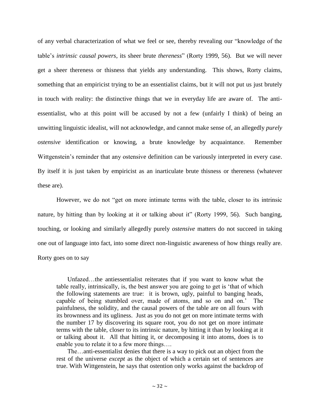of any verbal characterization of what we feel or see, thereby revealing our "knowledge of the table's *intrinsic causal powers*, its sheer brute *thereness*" (Rorty 1999, 56). But we will never get a sheer thereness or thisness that yields any understanding. This shows, Rorty claims, something that an empiricist trying to be an essentialist claims, but it will not put us just brutely in touch with reality: the distinctive things that we in everyday life are aware of. The antiessentialist, who at this point will be accused by not a few (unfairly I think) of being an unwitting linguistic idealist, will not acknowledge, and cannot make sense of, an allegedly *purely ostensive* identification or knowing, a brute knowledge by acquaintance. Remember Wittgenstein's reminder that any ostensive definition can be variously interpreted in every case. By itself it is just taken by empiricist as an inarticulate brute thisness or thereness (whatever these are).

However, we do not "get on more intimate terms with the table, closer to its intrinsic nature, by hitting than by looking at it or talking about it" (Rorty 1999, 56). Such banging, touching, or looking and similarly allegedly purely *ostensive* matters do not succeed in taking one out of language into fact, into some direct non-linguistic awareness of how things really are. Rorty goes on to say

 Unfazed…the antiessentialist reiterates that if you want to know what the table really, intrinsically, is, the best answer you are going to get is 'that of which the following statements are true: it is brown, ugly, painful to banging heads, capable of being stumbled over, made of atoms, and so on and on.' The painfulness, the solidity, and the causal powers of the table are on all fours with its brownness and its ugliness. Just as you do not get on more intimate terms with the number 17 by discovering its square root, you do not get on more intimate terms with the table, closer to its intrinsic nature, by hitting it than by looking at it or talking about it. All that hitting it, or decomposing it into atoms, does is to enable you to relate it to a few more things….

 The…anti-essentialist denies that there is a way to pick out an object from the rest of the universe *except* as the object of which a certain set of sentences are true. With Wittgenstein, he says that ostention only works against the backdrop of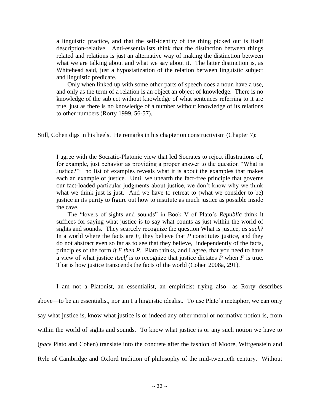a linguistic practice, and that the self-identity of the thing picked out is itself description-relative. Anti-essentialists think that the distinction between things related and relations is just an alternative way of making the distinction between what we are talking about and what we say about it. The latter distinction is, as Whitehead said, just a hypostatization of the relation between linguistic subject and linguistic predicate.

 Only when linked up with some other parts of speech does a noun have a use, and only as the term of a relation is an object an object of knowledge. There is no knowledge of the subject without knowledge of what sentences referring to it are true, just as there is no knowledge of a number without knowledge of its relations to other numbers (Rorty 1999, 56-57).

Still, Cohen digs in his heels. He remarks in his chapter on constructivism (Chapter 7):

I agree with the Socratic-Platonic view that led Socrates to reject illustrations of, for example, just behavior as providing a proper answer to the question "What is Justice?": no list of examples reveals what it is about the examples that makes each an example of justice. Until we unearth the fact-free principle that governs our fact-loaded particular judgments about justice, we don't know why we think what we think just is just. And we have to retreat to (what we consider to be) justice in its purity to figure out how to institute as much justice as possible inside the cave.

 The "lovers of sights and sounds" in Book V of Plato's *Republic* think it suffices for saying what justice is to say what counts as just within the world of sights and sounds. They scarcely recognize the question What is justice, *as such*? In a world where the facts are *F*, they believe that *P* constitutes justice, and they do not abstract even so far as to see that they believe, independently of the facts, principles of the form *if F then P*. Plato thinks, and I agree, that you need to have a view of what justice *itself* is to recognize that justice dictates *P* when *F* is true. That is how justice transcends the facts of the world (Cohen 2008a, 291).

I am not a Platonist, an essentialist, an empiricist trying also—as Rorty describes above—to be an essentialist, nor am I a linguistic idealist. To use Plato's metaphor, we can only say what justice is, know what justice is or indeed any other moral or normative notion is, from within the world of sights and sounds. To know what justice is or any such notion we have to (*pace* Plato and Cohen) translate into the concrete after the fashion of Moore, Wittgenstein and Ryle of Cambridge and Oxford tradition of philosophy of the mid-twentieth century. Without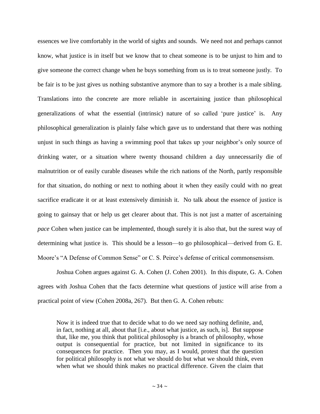essences we live comfortably in the world of sights and sounds. We need not and perhaps cannot know, what justice is in itself but we know that to cheat someone is to be unjust to him and to give someone the correct change when he buys something from us is to treat someone justly. To be fair is to be just gives us nothing substantive anymore than to say a brother is a male sibling. Translations into the concrete are more reliable in ascertaining justice than philosophical generalizations of what the essential (intrinsic) nature of so called 'pure justice' is. Any philosophical generalization is plainly false which gave us to understand that there was nothing unjust in such things as having a swimming pool that takes up your neighbor's only source of drinking water, or a situation where twenty thousand children a day unnecessarily die of malnutrition or of easily curable diseases while the rich nations of the North, partly responsible for that situation, do nothing or next to nothing about it when they easily could with no great sacrifice eradicate it or at least extensively diminish it. No talk about the essence of justice is going to gainsay that or help us get clearer about that. This is not just a matter of ascertaining *pace* Cohen when justice can be implemented, though surely it is also that, but the surest way of determining what justice is. This should be a lesson—to go philosophical—derived from G. E. Moore's "A Defense of Common Sense" or C. S. Peirce's defense of critical commonsensism.

Joshua Cohen argues against G. A. Cohen (J. Cohen 2001). In this dispute, G. A. Cohen agrees with Joshua Cohen that the facts determine what questions of justice will arise from a practical point of view (Cohen 2008a, 267). But then G. A. Cohen rebuts:

Now it is indeed true that to decide what to do we need say nothing definite, and, in fact, nothing at all, about that [i.e., about what justice, as such, is]. But suppose that, like me, you think that political philosophy is a branch of philosophy, whose output is consequential for practice, but not limited in significance to its consequences for practice. Then you may, as I would, protest that the question for political philosophy is not what we should do but what we should think, even when what we should think makes no practical difference. Given the claim that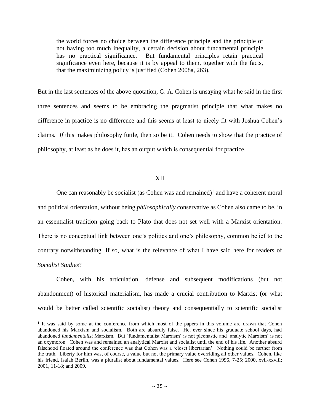the world forces no choice between the difference principle and the principle of not having too much inequality, a certain decision about fundamental principle has no practical significance. But fundamental principles retain practical significance even here, because it is by appeal to them, together with the facts, that the maximinizing policy is justified (Cohen 2008a, 263).

But in the last sentences of the above quotation, G. A. Cohen is unsaying what he said in the first three sentences and seems to be embracing the pragmatist principle that what makes no difference in practice is no difference and this seems at least to nicely fit with Joshua Cohen's claims. *If* this makes philosophy futile, then so be it. Cohen needs to show that the practice of philosophy, at least as he does it, has an output which is consequential for practice.

# XII

One can reasonably be socialist (as Cohen was and remained)<sup>1</sup> and have a coherent moral and political orientation, without being *philosophically* conservative as Cohen also came to be, in an essentialist tradition going back to Plato that does not set well with a Marxist orientation. There is no conceptual link between one's politics and one's philosophy, common belief to the contrary notwithstanding. If so, what is the relevance of what I have said here for readers of *Socialist Studies*?

Cohen, with his articulation, defense and subsequent modifications (but not abandonment) of historical materialism, has made a crucial contribution to Marxist (or what would be better called scientific socialist) theory and consequentially to scientific socialist

 $\overline{\phantom{a}}$ 

<sup>&</sup>lt;sup>1</sup> It was said by some at the conference from which most of the papers in this volume are drawn that Cohen abandoned his Marxism and socialism. Both are absurdly false. He, ever since his graduate school days, had abandoned *fundamentalist* Marxism. But 'fundamentalist Marxism' is not pleonastic and 'analytic Marxism' is not an oxymoron. Cohen was and remained an analytical Marxist and socialist until the end of his life. Another absurd falsehood floated around the conference was that Cohen was a 'closet libertarian'. Nothing could be further from the truth. Liberty for him was, of course, a value but not the primary value overriding all other values. Cohen, like his friend, Isaiah Berlin, was a pluralist about fundamental values. Here see Cohen 1996, 7-25; 2000, xvii-xxviii; 2001, 11-18; and 2009.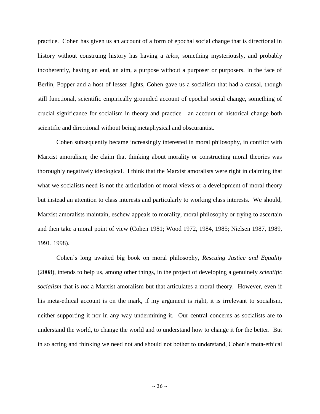practice. Cohen has given us an account of a form of epochal social change that is directional in history without construing history has having a *telos*, something mysteriously, and probably incoherently, having an end, an aim, a purpose without a purposer or purposers. In the face of Berlin, Popper and a host of lesser lights, Cohen gave us a socialism that had a causal, though still functional, scientific empirically grounded account of epochal social change, something of crucial significance for socialism in theory and practice—an account of historical change both scientific and directional without being metaphysical and obscurantist.

Cohen subsequently became increasingly interested in moral philosophy, in conflict with Marxist amoralism; the claim that thinking about morality or constructing moral theories was thoroughly negatively ideological. I think that the Marxist amoralists were right in claiming that what we socialists need is not the articulation of moral views or a development of moral theory but instead an attention to class interests and particularly to working class interests. We should, Marxist amoralists maintain, eschew appeals to morality, moral philosophy or trying to ascertain and then take a moral point of view (Cohen 1981; Wood 1972, 1984, 1985; Nielsen 1987, 1989, 1991, 1998).

Cohen's long awaited big book on moral philosophy, *Rescuing Justice and Equality*  (2008), intends to help us, among other things, in the project of developing a genuinely *scientific socialism* that is *not* a Marxist amoralism but that articulates a moral theory. However, even if his meta-ethical account is on the mark, if my argument is right, it is irrelevant to socialism, neither supporting it nor in any way undermining it. Our central concerns as socialists are to understand the world, to change the world and to understand how to change it for the better. But in so acting and thinking we need not and should not bother to understand, Cohen's meta-ethical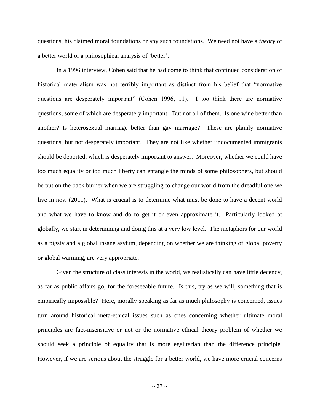questions, his claimed moral foundations or any such foundations. We need not have a *theory* of a better world or a philosophical analysis of 'better'.

In a 1996 interview, Cohen said that he had come to think that continued consideration of historical materialism was not terribly important as distinct from his belief that "normative questions are desperately important" (Cohen 1996, 11). I too think there are normative questions, some of which are desperately important. But not all of them. Is one wine better than another? Is heterosexual marriage better than gay marriage? These are plainly normative questions, but not desperately important. They are not like whether undocumented immigrants should be deported, which is desperately important to answer. Moreover, whether we could have too much equality or too much liberty can entangle the minds of some philosophers, but should be put on the back burner when we are struggling to change our world from the dreadful one we live in now (2011). What is crucial is to determine what must be done to have a decent world and what we have to know and do to get it or even approximate it. Particularly looked at globally, we start in determining and doing this at a very low level. The metaphors for our world as a pigsty and a global insane asylum, depending on whether we are thinking of global poverty or global warming, are very appropriate.

Given the structure of class interests in the world, we realistically can have little decency, as far as public affairs go, for the foreseeable future. Is this, try as we will, something that is empirically impossible? Here, morally speaking as far as much philosophy is concerned, issues turn around historical meta-ethical issues such as ones concerning whether ultimate moral principles are fact-insensitive or not or the normative ethical theory problem of whether we should seek a principle of equality that is more egalitarian than the difference principle. However, if we are serious about the struggle for a better world, we have more crucial concerns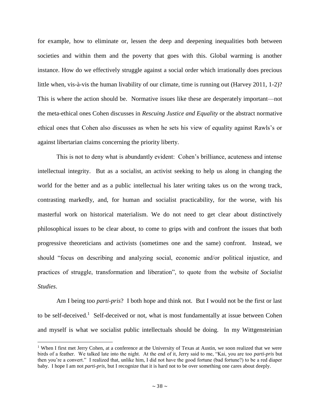for example, how to eliminate or, lessen the deep and deepening inequalities both between societies and within them and the poverty that goes with this. Global warming is another instance. How do we effectively struggle against a social order which irrationally does precious little when, vis-à-vis the human livability of our climate, time is running out (Harvey 2011, 1-2)? This is where the action should be. Normative issues like these are desperately important—not the meta-ethical ones Cohen discusses in *Rescuing Justice and Equality* or the abstract normative ethical ones that Cohen also discusses as when he sets his view of equality against Rawls's or against libertarian claims concerning the priority liberty.

This is not to deny what is abundantly evident: Cohen's brilliance, acuteness and intense intellectual integrity. But as a socialist, an activist seeking to help us along in changing the world for the better and as a public intellectual his later writing takes us on the wrong track, contrasting markedly, and, for human and socialist practicability, for the worse, with his masterful work on historical materialism. We do not need to get clear about distinctively philosophical issues to be clear about, to come to grips with and confront the issues that both progressive theoreticians and activists (sometimes one and the same) confront. Instead, we should "focus on describing and analyzing social, economic and/or political injustice, and practices of struggle, transformation and liberation", to quote from the website of *Socialist Studies*.

Am I being too *parti-pris*? I both hope and think not. But I would not be the first or last to be self-deceived.<sup>1</sup> Self-deceived or not, what is most fundamentally at issue between Cohen and myself is what we socialist public intellectuals should be doing. In my Wittgensteinian

l

<sup>&</sup>lt;sup>1</sup> When I first met Jerry Cohen, at a conference at the University of Texas at Austin, we soon realized that we were birds of a feather. We talked late into the night. At the end of it, Jerry said to me, "Kai, you are too *parti-pris* but then you're a convert." I realized that, unlike him, I did not have the good fortune (bad fortune?) to be a red diaper baby. I hope I am not *parti-pris*, but I recognize that it is hard not to be over something one cares about deeply.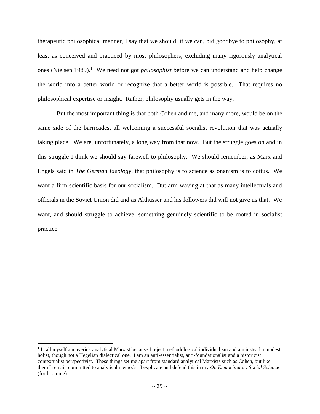therapeutic philosophical manner, I say that we should, if we can, bid goodbye to philosophy, at least as conceived and practiced by most philosophers, excluding many rigorously analytical ones (Nielsen 1989).<sup>1</sup> We need not got *philosophist* before we can understand and help change the world into a better world or recognize that a better world is possible. That requires no philosophical expertise or insight. Rather, philosophy usually gets in the way.

But the most important thing is that both Cohen and me, and many more, would be on the same side of the barricades, all welcoming a successful socialist revolution that was actually taking place. We are, unfortunately, a long way from that now. But the struggle goes on and in this struggle I think we should say farewell to philosophy. We should remember, as Marx and Engels said in *The German Ideology*, that philosophy is to science as onanism is to coitus. We want a firm scientific basis for our socialism. But arm waving at that as many intellectuals and officials in the Soviet Union did and as Althusser and his followers did will not give us that. We want, and should struggle to achieve, something genuinely scientific to be rooted in socialist practice.

 $\overline{\phantom{a}}$ 

<sup>&</sup>lt;sup>1</sup> I call myself a maverick analytical Marxist because I reject methodological individualism and am instead a modest holist, though not a Hegelian dialectical one. I am an anti-essentialist, anti-foundationalist and a historicist contextualist perspectivist. These things set me apart from standard analytical Marxists such as Cohen, but like them I remain committed to analytical methods. I explicate and defend this in my *On Emancipatory Social Science*  (forthcoming).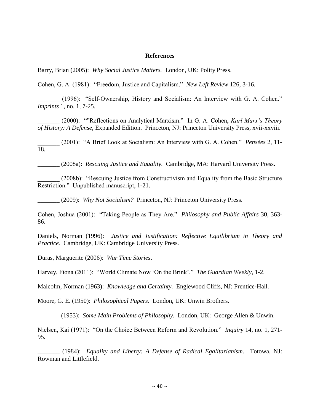# **References**

Barry, Brian (2005): *Why Social Justice Matters.* London, UK: Polity Press.

Cohen, G. A. (1981): "Freedom, Justice and Capitalism." *New Left Review* 126, 3-16.

\_\_\_\_\_\_\_ (1996): "Self-Ownership, History and Socialism: An Interview with G. A. Cohen." *Imprints* 1, no. 1, 7-25.

\_\_\_\_\_\_\_ (2000): ""Reflections on Analytical Marxism." In G. A. Cohen, *Karl Marx's Theory of History: A Defense,* Expanded Edition. Princeton, NJ: Princeton University Press, xvii-xxviii.

\_\_\_\_\_\_\_ (2001): "A Brief Look at Socialism: An Interview with G. A. Cohen." *Pensées* 2, 11- 18.

\_\_\_\_\_\_\_ (2008a): *Rescuing Justice and Equality.* Cambridge, MA: Harvard University Press.

(2008b): "Rescuing Justice from Constructivism and Equality from the Basic Structure Restriction." Unpublished manuscript, 1-21.

\_\_\_\_\_\_\_ (2009): *Why Not Socialism?* Princeton, NJ: Princeton University Press.

Cohen, Joshua (2001): "Taking People as They Are." *Philosophy and Public Affairs* 30, 363- 86.

Daniels, Norman (1996): *Justice and Justification: Reflective Equilibrium in Theory and Practice.* Cambridge, UK: Cambridge University Press.

Duras, Marguerite (2006): *War Time Stories*.

Harvey, Fiona (2011): "World Climate Now 'On the Brink'." *The Guardian Weekly*, 1-2.

Malcolm, Norman (1963): *Knowledge and Certainty.* Englewood Cliffs, NJ: Prentice-Hall.

Moore, G. E. (1950): *Philosophical Papers*. London, UK: Unwin Brothers.

\_\_\_\_\_\_\_ (1953): *Some Main Problems of Philosophy*. London, UK: George Allen & Unwin.

Nielsen, Kai (1971): "On the Choice Between Reform and Revolution." *Inquiry* 14, no. 1, 271- 95.

\_\_\_\_\_\_\_ (1984): *Equality and Liberty: A Defense of Radical Egalitarianism.* Totowa, NJ: Rowman and Littlefield.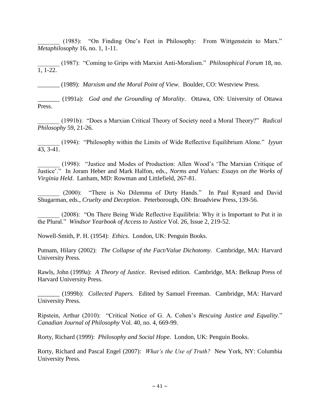\_\_\_\_\_\_\_ (1985): "On Finding One's Feet in Philosophy: From Wittgenstein to Marx." *Metaphilosophy* 16, no. 1, 1-11.

\_\_\_\_\_\_\_ (1987): "Coming to Grips with Marxist Anti-Moralism." *Philosophical Forum* 18, no. 1, 1-22.

\_\_\_\_\_\_\_ (1989): *Marxism and the Moral Point of View.* Boulder, CO: Westview Press.

\_\_\_\_\_\_\_ (1991a): *God and the Grounding of Morality*. Ottawa, ON: University of Ottawa Press.

\_\_\_\_\_\_\_ (1991b): "Does a Marxian Critical Theory of Society need a Moral Theory?" *Radical Philosophy* 59, 21-26.

\_\_\_\_\_\_\_ (1994): "Philosophy within the Limits of Wide Reflective Equilibrium Alone." *Iyyun*  43, 3-41.

\_\_\_\_\_\_\_ (1998): "Justice and Modes of Production: Allen Wood's 'The Marxian Critique of Justice'." In Joram Heber and Mark Halfon, eds., *Norms and Values: Essays on the Works of Virginia Held*. Lanham, MD: Rowman and Littlefield, 267-81.

\_\_\_\_\_\_\_ (2000): "There is No Dilemma of Dirty Hands." In Paul Rynard and David Shugarman, eds., *Cruelty and Deception*. Peterborough, ON: Broadview Press, 139-56.

\_\_\_\_\_\_\_ (2008): "On There Being Wide Reflective Equilibria: Why it is Important to Put it in the Plural." *Windsor Yearbook of Access to Justice* Vol. 26, Issue 2, 219-52.

Nowell-Smith, P. H. (1954): *Ethics*. London, UK: Penguin Books.

Putnam, Hilary (2002): *The Collapse of the Fact/Value Dichotomy.* Cambridge, MA: Harvard University Press.

Rawls, John (1999a): *A Theory of Justice*. Revised edition. Cambridge, MA: Belknap Press of Harvard University Press.

\_\_\_\_\_\_\_ (1999b): *Collected Papers.* Edited by Samuel Freeman. Cambridge, MA: Harvard University Press.

Ripstein, Arthur (2010): "Critical Notice of G. A. Cohen's *Rescuing Justice and Equality*." *Canadian Journal of Philosophy* Vol. 40, no. 4, 669-99.

Rorty, Richard (1999): *Philosophy and Social Hope.* London, UK: Penguin Books.

Rorty, Richard and Pascal Engel (2007): *What's the Use of Truth?* New York, NY: Columbia University Press.